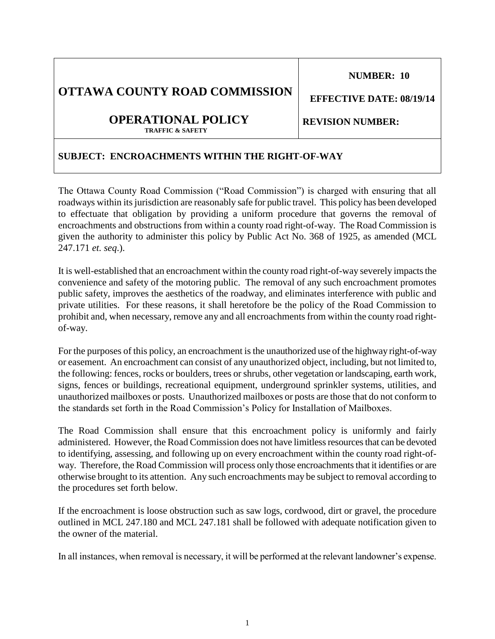1

# **NUMBER: 10**

**REVISION NUMBER:** 

# **OTTAWA COUNTY ROAD COMMISSION**

#### **OPERATIONAL POLICY TRAFFIC & SAFETY**

## **SUBJECT: ENCROACHMENTS WITHIN THE RIGHT-OF-WAY**

The Ottawa County Road Commission ("Road Commission") is charged with ensuring that all roadways within its jurisdiction are reasonably safe for public travel. This policy has been developed to effectuate that obligation by providing a uniform procedure that governs the removal of encroachments and obstructions from within a county road right-of-way. The Road Commission is given the authority to administer this policy by Public Act No. 368 of 1925, as amended (MCL 247.171 *et. seq*.).

It is well-established that an encroachment within the county road right-of-way severely impacts the convenience and safety of the motoring public. The removal of any such encroachment promotes public safety, improves the aesthetics of the roadway, and eliminates interference with public and private utilities. For these reasons, it shall heretofore be the policy of the Road Commission to prohibit and, when necessary, remove any and all encroachments from within the county road rightof-way.

For the purposes of this policy, an encroachment is the unauthorized use of the highway right-of-way or easement. An encroachment can consist of any unauthorized object, including, but not limited to, the following: fences, rocks or boulders, trees or shrubs, other vegetation or landscaping, earth work, signs, fences or buildings, recreational equipment, underground sprinkler systems, utilities, and unauthorized mailboxes or posts. Unauthorized mailboxes or posts are those that do not conform to the standards set forth in the Road Commission's Policy for Installation of Mailboxes.

The Road Commission shall ensure that this encroachment policy is uniformly and fairly administered. However, the Road Commission does not have limitless resources that can be devoted to identifying, assessing, and following up on every encroachment within the county road right-ofway. Therefore, the Road Commission will process only those encroachments that it identifies or are otherwise brought to its attention. Any such encroachments may be subject to removal according to the procedures set forth below.

If the encroachment is loose obstruction such as saw logs, cordwood, dirt or gravel, the procedure outlined in MCL 247.180 and MCL 247.181 shall be followed with adequate notification given to the owner of the material.

In all instances, when removal is necessary, it will be performed at the relevant landowner's expense.

 **EFFECTIVE DATE: 08/19/14**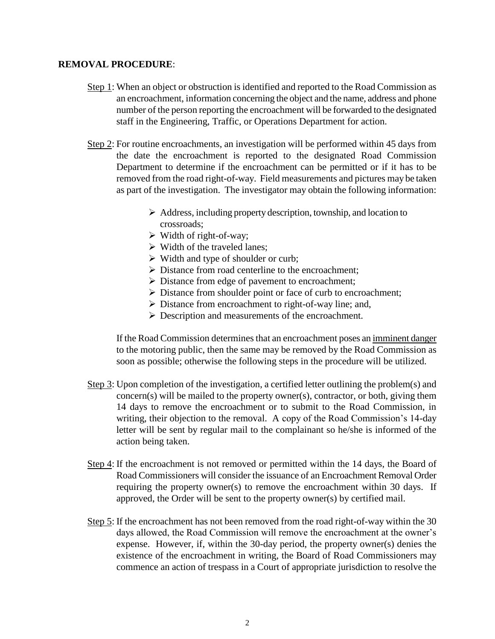### **REMOVAL PROCEDURE**:

- Step 1: When an object or obstruction is identified and reported to the Road Commission as an encroachment, information concerning the object and the name, address and phone number of the person reporting the encroachment will be forwarded to the designated staff in the Engineering, Traffic, or Operations Department for action.
- Step 2: For routine encroachments, an investigation will be performed within 45 days from the date the encroachment is reported to the designated Road Commission Department to determine if the encroachment can be permitted or if it has to be removed from the road right-of-way. Field measurements and pictures may be taken as part of the investigation. The investigator may obtain the following information:
	- $\triangleright$  Address, including property description, township, and location to crossroads;
	- $\triangleright$  Width of right-of-way;
	- $\triangleright$  Width of the traveled lanes;
	- $\triangleright$  Width and type of shoulder or curb;
	- $\triangleright$  Distance from road centerline to the encroachment;
	- $\triangleright$  Distance from edge of pavement to encroachment;
	- Distance from shoulder point or face of curb to encroachment;
	- $\triangleright$  Distance from encroachment to right-of-way line; and,
	- **Description and measurements of the encroachment.**

If the Road Commission determines that an encroachment poses an imminent danger to the motoring public, then the same may be removed by the Road Commission as soon as possible; otherwise the following steps in the procedure will be utilized.

- Step 3: Upon completion of the investigation, a certified letter outlining the problem(s) and  $\text{concern}(s)$  will be mailed to the property owner(s), contractor, or both, giving them 14 days to remove the encroachment or to submit to the Road Commission, in writing, their objection to the removal. A copy of the Road Commission's 14-day letter will be sent by regular mail to the complainant so he/she is informed of the action being taken.
- Step 4: If the encroachment is not removed or permitted within the 14 days, the Board of Road Commissioners will consider the issuance of an Encroachment Removal Order requiring the property owner(s) to remove the encroachment within 30 days. If approved, the Order will be sent to the property owner(s) by certified mail.
- Step 5: If the encroachment has not been removed from the road right-of-way within the 30 days allowed, the Road Commission will remove the encroachment at the owner's expense. However, if, within the 30-day period, the property owner(s) denies the existence of the encroachment in writing, the Board of Road Commissioners may commence an action of trespass in a Court of appropriate jurisdiction to resolve the